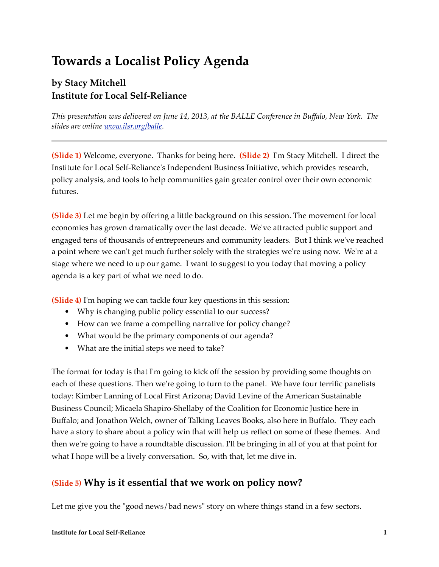# **Towards a Localist Policy Agenda**

# **by Stacy Mitchell Institute for Local Self-Reliance**

*This presentation was delivered on June 14, 2013, at the BALLE Conference in Buffalo, New York. The slides are online [www.ilsr.org/balle](http://www.ilsr.org/balle).*

**(Slide 1)** Welcome, everyone. Thanks for being here. **(Slide 2)** I'm Stacy Mitchell. I direct the Institute for Local Self-Reliance's Independent Business Initiative, which provides research, policy analysis, and tools to help communities gain greater control over their own economic futures.

**(Slide 3)** Let me begin by offering a little background on this session. The movement for local economies has grown dramatically over the last decade. We've attracted public support and engaged tens of thousands of entrepreneurs and community leaders. But I think we've reached a point where we can't get much further solely with the strategies we're using now. We're at a stage where we need to up our game. I want to suggest to you today that moving a policy agenda is a key part of what we need to do.

**(Slide 4)** I'm hoping we can tackle four key questions in this session:

- Why is changing public policy essential to our success?
- How can we frame a compelling narrative for policy change?
- What would be the primary components of our agenda?
- What are the initial steps we need to take?

The format for today is that I'm going to kick off the session by providing some thoughts on each of these questions. Then we're going to turn to the panel. We have four terrific panelists today: Kimber Lanning of Local First Arizona; David Levine of the American Sustainable Business Council; Micaela Shapiro-Shellaby of the Coalition for Economic Justice here in Buffalo; and Jonathon Welch, owner of Talking Leaves Books, also here in Buffalo. They each have a story to share about a policy win that will help us reflect on some of these themes. And then we're going to have a roundtable discussion. I'll be bringing in all of you at that point for what I hope will be a lively conversation. So, with that, let me dive in.

### **(Slide 5) Why is it essential that we work on policy now?**

Let me give you the "good news/bad news" story on where things stand in a few sectors.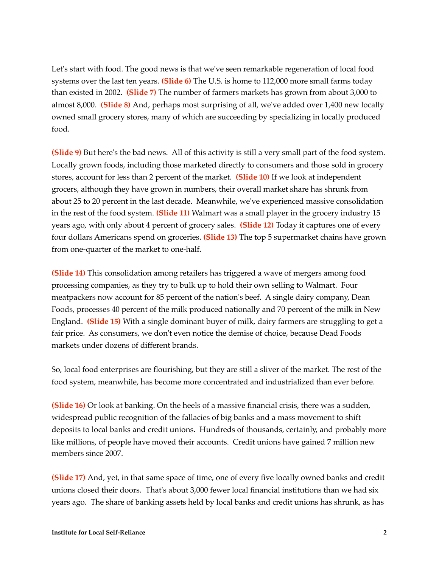Let's start with food. The good news is that we've seen remarkable regeneration of local food systems over the last ten years. **(Slide 6)** The U.S. is home to 112,000 more small farms today than existed in 2002. **(Slide 7)** The number of farmers markets has grown from about 3,000 to almost 8,000. **(Slide 8)** And, perhaps most surprising of all, we've added over 1,400 new locally owned small grocery stores, many of which are succeeding by specializing in locally produced food.

**(Slide 9)** But here's the bad news. All of this activity is still a very small part of the food system. Locally grown foods, including those marketed directly to consumers and those sold in grocery stores, account for less than 2 percent of the market. **(Slide 10)** If we look at independent grocers, although they have grown in numbers, their overall market share has shrunk from about 25 to 20 percent in the last decade. Meanwhile, we've experienced massive consolidation in the rest of the food system. **(Slide 11)** Walmart was a small player in the grocery industry 15 years ago, with only about 4 percent of grocery sales. **(Slide 12)** Today it captures one of every four dollars Americans spend on groceries. **(Slide 13)** The top 5 supermarket chains have grown from one-quarter of the market to one-half.

**(Slide 14)** This consolidation among retailers has triggered a wave of mergers among food processing companies, as they try to bulk up to hold their own selling to Walmart. Four meatpackers now account for 85 percent of the nation's beef. A single dairy company, Dean Foods, processes 40 percent of the milk produced nationally and 70 percent of the milk in New England. **(Slide 15)** With a single dominant buyer of milk, dairy farmers are struggling to get a fair price. As consumers, we don't even notice the demise of choice, because Dead Foods markets under dozens of different brands.

So, local food enterprises are flourishing, but they are still a sliver of the market. The rest of the food system, meanwhile, has become more concentrated and industrialized than ever before.

**(Slide 16)** Or look at banking. On the heels of a massive financial crisis, there was a sudden, widespread public recognition of the fallacies of big banks and a mass movement to shift deposits to local banks and credit unions. Hundreds of thousands, certainly, and probably more like millions, of people have moved their accounts. Credit unions have gained 7 million new members since 2007.

**(Slide 17)** And, yet, in that same space of time, one of every five locally owned banks and credit unions closed their doors. That's about 3,000 fewer local financial institutions than we had six years ago. The share of banking assets held by local banks and credit unions has shrunk, as has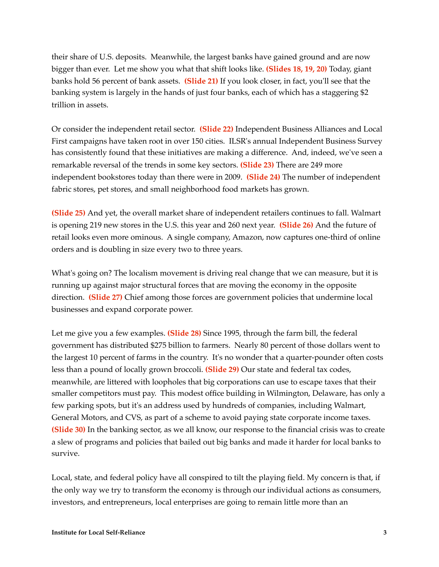their share of U.S. deposits. Meanwhile, the largest banks have gained ground and are now bigger than ever. Let me show you what that shift looks like. **(Slides 18, 19, 20)** Today, giant banks hold 56 percent of bank assets. **(Slide 21)** If you look closer, in fact, you'll see that the banking system is largely in the hands of just four banks, each of which has a staggering \$2 trillion in assets.

Or consider the independent retail sector. **(Slide 22)** Independent Business Alliances and Local First campaigns have taken root in over 150 cities. ILSR's annual Independent Business Survey has consistently found that these initiatives are making a difference. And, indeed, we've seen a remarkable reversal of the trends in some key sectors. **(Slide 23)** There are 249 more independent bookstores today than there were in 2009. **(Slide 24)** The number of independent fabric stores, pet stores, and small neighborhood food markets has grown.

**(Slide 25)** And yet, the overall market share of independent retailers continues to fall. Walmart is opening 219 new stores in the U.S. this year and 260 next year. **(Slide 26)** And the future of retail looks even more ominous. A single company, Amazon, now captures one-third of online orders and is doubling in size every two to three years.

What's going on? The localism movement is driving real change that we can measure, but it is running up against major structural forces that are moving the economy in the opposite direction. **(Slide 27)** Chief among those forces are government policies that undermine local businesses and expand corporate power.

Let me give you a few examples. **(Slide 28)** Since 1995, through the farm bill, the federal government has distributed \$275 billion to farmers. Nearly 80 percent of those dollars went to the largest 10 percent of farms in the country. It's no wonder that a quarter-pounder often costs less than a pound of locally grown broccoli. **(Slide 29)** Our state and federal tax codes, meanwhile, are littered with loopholes that big corporations can use to escape taxes that their smaller competitors must pay. This modest office building in Wilmington, Delaware, has only a few parking spots, but it's an address used by hundreds of companies, including Walmart, General Motors, and CVS, as part of a scheme to avoid paying state corporate income taxes. **(Slide 30)** In the banking sector, as we all know, our response to the financial crisis was to create a slew of programs and policies that bailed out big banks and made it harder for local banks to survive.

Local, state, and federal policy have all conspired to tilt the playing field. My concern is that, if the only way we try to transform the economy is through our individual actions as consumers, investors, and entrepreneurs, local enterprises are going to remain little more than an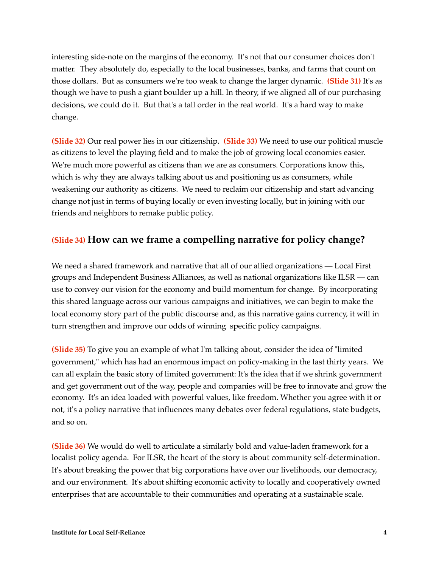interesting side-note on the margins of the economy. It's not that our consumer choices don't matter. They absolutely do, especially to the local businesses, banks, and farms that count on those dollars. But as consumers we're too weak to change the larger dynamic. **(Slide 31)** It's as though we have to push a giant boulder up a hill. In theory, if we aligned all of our purchasing decisions, we could do it. But that's a tall order in the real world. It's a hard way to make change.

**(Slide 32)** Our real power lies in our citizenship. **(Slide 33)** We need to use our political muscle as citizens to level the playing field and to make the job of growing local economies easier. We're much more powerful as citizens than we are as consumers. Corporations know this, which is why they are always talking about us and positioning us as consumers, while weakening our authority as citizens. We need to reclaim our citizenship and start advancing change not just in terms of buying locally or even investing locally, but in joining with our friends and neighbors to remake public policy.

## **(Slide 34) How can we frame a compelling narrative for policy change?**

We need a shared framework and narrative that all of our allied organizations — Local First groups and Independent Business Alliances, as well as national organizations like ILSR — can use to convey our vision for the economy and build momentum for change. By incorporating this shared language across our various campaigns and initiatives, we can begin to make the local economy story part of the public discourse and, as this narrative gains currency, it will in turn strengthen and improve our odds of winning specific policy campaigns.

**(Slide 35)** To give you an example of what I'm talking about, consider the idea of "limited government," which has had an enormous impact on policy-making in the last thirty years. We can all explain the basic story of limited government: It's the idea that if we shrink government and get government out of the way, people and companies will be free to innovate and grow the economy. It's an idea loaded with powerful values, like freedom. Whether you agree with it or not, it's a policy narrative that influences many debates over federal regulations, state budgets, and so on.

**(Slide 36)** We would do well to articulate a similarly bold and value-laden framework for a localist policy agenda. For ILSR, the heart of the story is about community self-determination. It's about breaking the power that big corporations have over our livelihoods, our democracy, and our environment. It's about shifting economic activity to locally and cooperatively owned enterprises that are accountable to their communities and operating at a sustainable scale.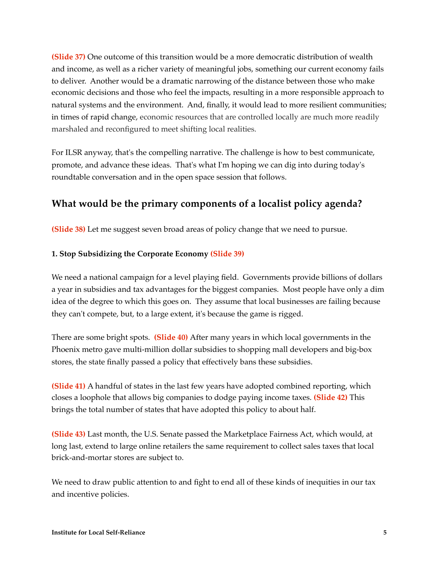**(Slide 37)** One outcome of this transition would be a more democratic distribution of wealth and income, as well as a richer variety of meaningful jobs, something our current economy fails to deliver. Another would be a dramatic narrowing of the distance between those who make economic decisions and those who feel the impacts, resulting in a more responsible approach to natural systems and the environment. And, finally, it would lead to more resilient communities; in times of rapid change, economic resources that are controlled locally are much more readily marshaled and reconfigured to meet shifting local realities.

For ILSR anyway, that's the compelling narrative. The challenge is how to best communicate, promote, and advance these ideas. That's what I'm hoping we can dig into during today's roundtable conversation and in the open space session that follows.

# **What would be the primary components of a localist policy agenda?**

**(Slide 38)** Let me suggest seven broad areas of policy change that we need to pursue.

#### **1. Stop Subsidizing the Corporate Economy (Slide 39)**

We need a national campaign for a level playing field. Governments provide billions of dollars a year in subsidies and tax advantages for the biggest companies. Most people have only a dim idea of the degree to which this goes on. They assume that local businesses are failing because they can't compete, but, to a large extent, it's because the game is rigged.

There are some bright spots. **(Slide 40)** After many years in which local governments in the Phoenix metro gave multi-million dollar subsidies to shopping mall developers and big-box stores, the state finally passed a policy that effectively bans these subsidies.

**(Slide 41)** A handful of states in the last few years have adopted combined reporting, which closes a loophole that allows big companies to dodge paying income taxes. **(Slide 42)** This brings the total number of states that have adopted this policy to about half.

**(Slide 43)** Last month, the U.S. Senate passed the Marketplace Fairness Act, which would, at long last, extend to large online retailers the same requirement to collect sales taxes that local brick-and-mortar stores are subject to.

We need to draw public attention to and fight to end all of these kinds of inequities in our tax and incentive policies.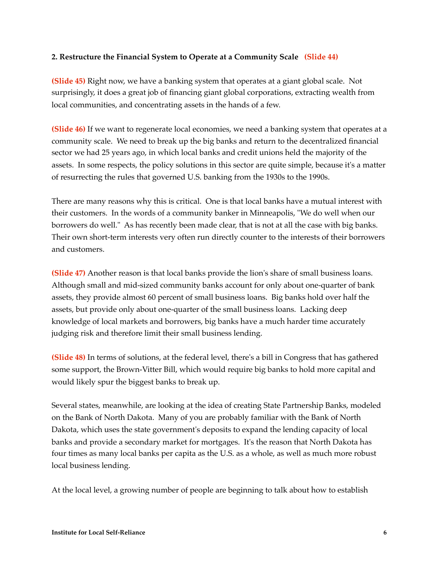#### **2. Restructure the Financial System to Operate at a Community Scale (Slide 44)**

**(Slide 45)** Right now, we have a banking system that operates at a giant global scale. Not surprisingly, it does a great job of financing giant global corporations, extracting wealth from local communities, and concentrating assets in the hands of a few.

**(Slide 46)** If we want to regenerate local economies, we need a banking system that operates at a community scale. We need to break up the big banks and return to the decentralized financial sector we had 25 years ago, in which local banks and credit unions held the majority of the assets. In some respects, the policy solutions in this sector are quite simple, because it's a matter of resurrecting the rules that governed U.S. banking from the 1930s to the 1990s.

There are many reasons why this is critical. One is that local banks have a mutual interest with their customers. In the words of a community banker in Minneapolis, "We do well when our borrowers do well." As has recently been made clear, that is not at all the case with big banks. Their own short-term interests very often run directly counter to the interests of their borrowers and customers.

**(Slide 47)** Another reason is that local banks provide the lion's share of small business loans. Although small and mid-sized community banks account for only about one-quarter of bank assets, they provide almost 60 percent of small business loans. Big banks hold over half the assets, but provide only about one-quarter of the small business loans. Lacking deep knowledge of local markets and borrowers, big banks have a much harder time accurately judging risk and therefore limit their small business lending.

**(Slide 48)** In terms of solutions, at the federal level, there's a bill in Congress that has gathered some support, the Brown-Vitter Bill, which would require big banks to hold more capital and would likely spur the biggest banks to break up.

Several states, meanwhile, are looking at the idea of creating State Partnership Banks, modeled on the Bank of North Dakota. Many of you are probably familiar with the Bank of North Dakota, which uses the state government's deposits to expand the lending capacity of local banks and provide a secondary market for mortgages. It's the reason that North Dakota has four times as many local banks per capita as the U.S. as a whole, as well as much more robust local business lending.

At the local level, a growing number of people are beginning to talk about how to establish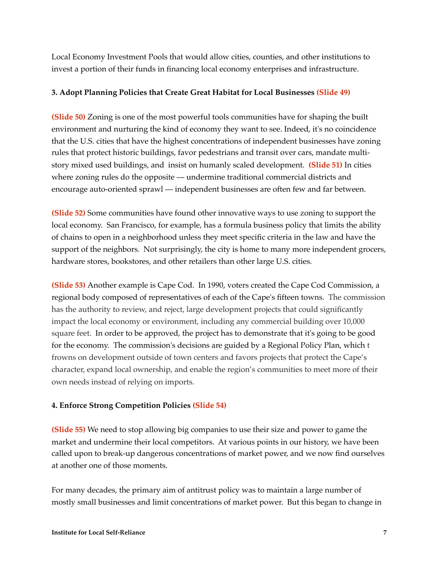Local Economy Investment Pools that would allow cities, counties, and other institutions to invest a portion of their funds in financing local economy enterprises and infrastructure.

#### **3. Adopt Planning Policies that Create Great Habitat for Local Businesses (Slide 49)**

**(Slide 50)** Zoning is one of the most powerful tools communities have for shaping the built environment and nurturing the kind of economy they want to see. Indeed, it's no coincidence that the U.S. cities that have the highest concentrations of independent businesses have zoning rules that protect historic buildings, favor pedestrians and transit over cars, mandate multistory mixed used buildings, and insist on humanly scaled development. **(Slide 51)** In cities where zoning rules do the opposite — undermine traditional commercial districts and encourage auto-oriented sprawl — independent businesses are often few and far between.

**(Slide 52)** Some communities have found other innovative ways to use zoning to support the local economy. San Francisco, for example, has a formula business policy that limits the ability of chains to open in a neighborhood unless they meet specific criteria in the law and have the support of the neighbors. Not surprisingly, the city is home to many more independent grocers, hardware stores, bookstores, and other retailers than other large U.S. cities.

**(Slide 53)** Another example is Cape Cod. In 1990, voters created the Cape Cod Commission, a regional body composed of representatives of each of the Cape's fifteen towns. The commission has the authority to review, and reject, large development projects that could significantly impact the local economy or environment, including any commercial building over 10,000 square feet. In order to be approved, the project has to demonstrate that it's going to be good for the economy. The commission's decisions are guided by a Regional Policy Plan, which t frowns on development outside of town centers and favors projects that protect the Cape's character, expand local ownership, and enable the region's communities to meet more of their own needs instead of relying on imports.

#### **4. Enforce Strong Competition Policies (Slide 54)**

**(Slide 55)** We need to stop allowing big companies to use their size and power to game the market and undermine their local competitors. At various points in our history, we have been called upon to break-up dangerous concentrations of market power, and we now find ourselves at another one of those moments.

For many decades, the primary aim of antitrust policy was to maintain a large number of mostly small businesses and limit concentrations of market power. But this began to change in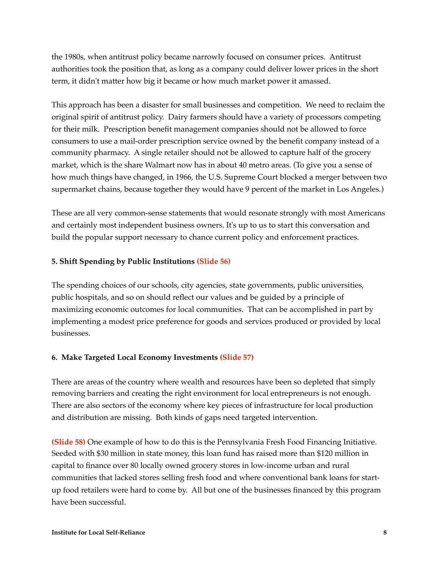the 1980s, when antitrust policy became narrowly focused on consumer prices. Antitrust authorities took the position that, as long as a company could deliver lower prices in the short term, it didn't matter how big it became or how much market power it amassed.

This approach has been a disaster for small businesses and competition. We need to reclaim the original spirit of antitrust policy. Dairy farmers should have a variety of processors competing for their milk. Prescription benefit management companies should not be allowed to force consumers to use a mail-order prescription service owned by the benefit company instead of a community pharmacy. A single retailer should not be allowed to capture half of the grocery market, which is the share Walmart now has in about 40 metro areas. (To give you a sense of how much things have changed, in 1966, the U.S. Supreme Court blocked a merger between two supermarket chains, because together they would have 9 percent of the market in Los Angeles.)

These are all very common-sense statements that would resonate strongly with most Americans and certainly most independent business owners. It's up to us to start this conversation and build the popular support necessary to chance current policy and enforcement practices.

#### **5. Shift Spending by Public Institutions (Slide 56)**

The spending choices of our schools, city agencies, state governments, public universities, public hospitals, and so on should reflect our values and be guided by a principle of maximizing economic outcomes for local communities. That can be accomplished in part by implementing a modest price preference for goods and services produced or provided by local businesses.

#### **6. Make Targeted Local Economy Investments (Slide 57)**

There are areas of the country where wealth and resources have been so depleted that simply removing barriers and creating the right environment for local entrepreneurs is not enough. There are also sectors of the economy where key pieces of infrastructure for local production and distribution are missing. Both kinds of gaps need targeted intervention.

**(Slide 58)** One example of how to do this is the Pennsylvania Fresh Food Financing Initiative. Seeded with \$30 million in state money, this loan fund has raised more than \$120 million in capital to finance over 80 locally owned grocery stores in low-income urban and rural communities that lacked stores selling fresh food and where conventional bank loans for startup food retailers were hard to come by. All but one of the businesses financed by this program have been successful.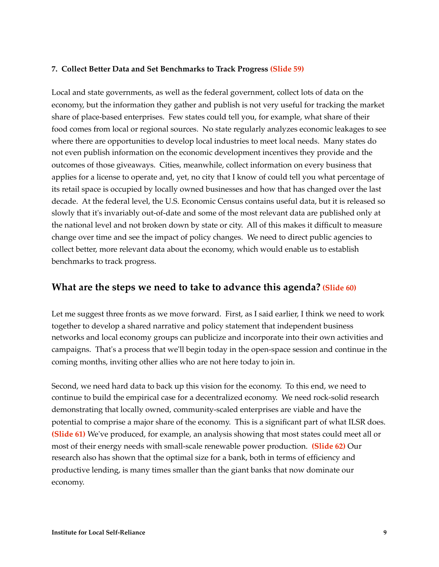#### **7. Collect Better Data and Set Benchmarks to Track Progress (Slide 59)**

Local and state governments, as well as the federal government, collect lots of data on the economy, but the information they gather and publish is not very useful for tracking the market share of place-based enterprises. Few states could tell you, for example, what share of their food comes from local or regional sources. No state regularly analyzes economic leakages to see where there are opportunities to develop local industries to meet local needs. Many states do not even publish information on the economic development incentives they provide and the outcomes of those giveaways. Cities, meanwhile, collect information on every business that applies for a license to operate and, yet, no city that I know of could tell you what percentage of its retail space is occupied by locally owned businesses and how that has changed over the last decade. At the federal level, the U.S. Economic Census contains useful data, but it is released so slowly that it's invariably out-of-date and some of the most relevant data are published only at the national level and not broken down by state or city. All of this makes it difficult to measure change over time and see the impact of policy changes. We need to direct public agencies to collect better, more relevant data about the economy, which would enable us to establish benchmarks to track progress.

### **What are the steps we need to take to advance this agenda? (Slide 60)**

Let me suggest three fronts as we move forward. First, as I said earlier, I think we need to work together to develop a shared narrative and policy statement that independent business networks and local economy groups can publicize and incorporate into their own activities and campaigns. That's a process that we'll begin today in the open-space session and continue in the coming months, inviting other allies who are not here today to join in.

Second, we need hard data to back up this vision for the economy. To this end, we need to continue to build the empirical case for a decentralized economy. We need rock-solid research demonstrating that locally owned, community-scaled enterprises are viable and have the potential to comprise a major share of the economy. This is a significant part of what ILSR does. **(Slide 61)** We've produced, for example, an analysis showing that most states could meet all or most of their energy needs with small-scale renewable power production. **(Slide 62)** Our research also has shown that the optimal size for a bank, both in terms of efficiency and productive lending, is many times smaller than the giant banks that now dominate our economy.